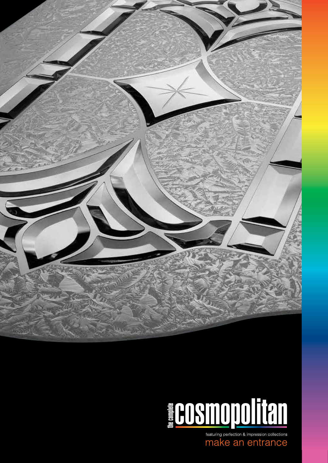



Featuring perfection & impression collections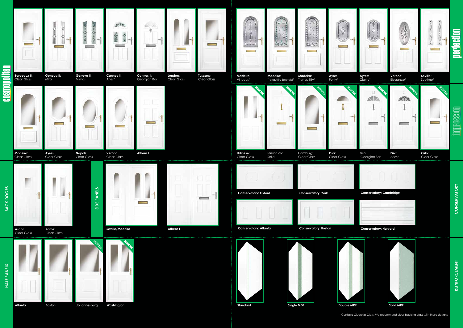**REINFORCEMENT REINFORCEMENT**

**CONSERVATORY**



**Oslo:** Clear Glass



**Pisa:** Georgian Bar

**Pisa:**  Aries\*









**Ayres:**  Clarity\*

12

 $\frac{1}{2} \left( \frac{1}{2} \right) \left( \frac{1}{2} \right) \left( \frac{1}{2} \right) \left( \frac{1}{2} \right) \left( \frac{1}{2} \right) \left( \frac{1}{2} \right) \left( \frac{1}{2} \right) \left( \frac{1}{2} \right) \left( \frac{1}{2} \right) \left( \frac{1}{2} \right) \left( \frac{1}{2} \right) \left( \frac{1}{2} \right) \left( \frac{1}{2} \right) \left( \frac{1}{2} \right) \left( \frac{1}{2} \right) \left( \frac{1}{2} \right) \left( \frac$ 

AIP.

**INVERTED** 



**Verona:**  Elegance\*

 $ATA$ 

 $\frac{1}{2}$ 

**INVERTED**